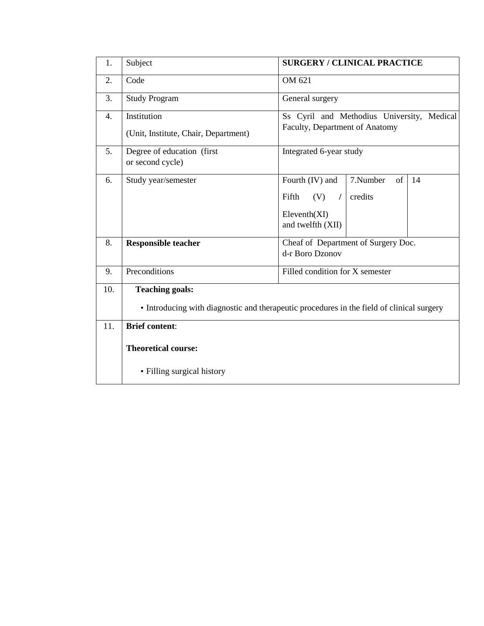| 1.               | Subject                                                                                                             | <b>SURGERY / CLINICAL PRACTICE</b>                                                                                 |  |  |
|------------------|---------------------------------------------------------------------------------------------------------------------|--------------------------------------------------------------------------------------------------------------------|--|--|
| 2.               | Code                                                                                                                | OM 621                                                                                                             |  |  |
| 3.               | <b>Study Program</b>                                                                                                | General surgery                                                                                                    |  |  |
| $\overline{4}$ . | Institution<br>(Unit, Institute, Chair, Department)                                                                 | Ss Cyril and Methodius University, Medical<br>Faculty, Department of Anatomy                                       |  |  |
| 5.               | Degree of education (first<br>or second cycle)                                                                      | Integrated 6-year study                                                                                            |  |  |
| 6.               | Study year/semester                                                                                                 | Fourth (IV) and<br>7.Number<br>of<br>14<br>Fifth<br>(V)<br>credits<br>$\prime$<br>Elevant(XI)<br>and twelfth (XII) |  |  |
| 8.               | <b>Responsible teacher</b>                                                                                          | Cheaf of Department of Surgery Doc.<br>d-r Boro Dzonov                                                             |  |  |
| 9.               | Preconditions                                                                                                       | Filled condition for X semester                                                                                    |  |  |
| 10.              | <b>Teaching goals:</b><br>• Introducing with diagnostic and therapeutic procedures in the field of clinical surgery |                                                                                                                    |  |  |
| 11.              | <b>Brief content:</b>                                                                                               |                                                                                                                    |  |  |
|                  | <b>Theoretical course:</b>                                                                                          |                                                                                                                    |  |  |
|                  | • Filling surgical history                                                                                          |                                                                                                                    |  |  |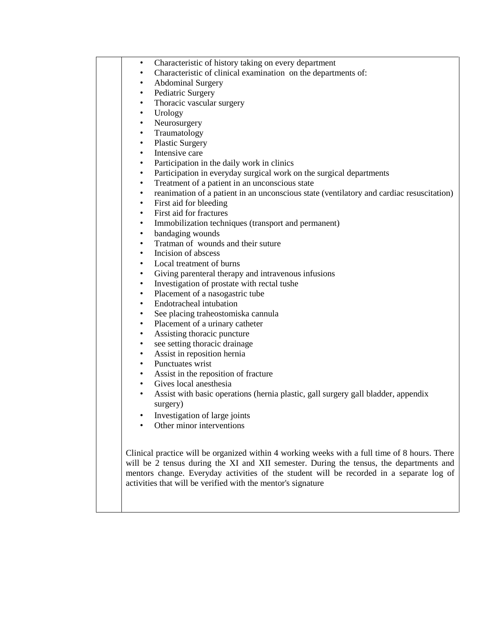|           | Characteristic of history taking on every department                                                                                                                                                                                                                                                                                                 |
|-----------|------------------------------------------------------------------------------------------------------------------------------------------------------------------------------------------------------------------------------------------------------------------------------------------------------------------------------------------------------|
|           | Characteristic of clinical examination on the departments of:                                                                                                                                                                                                                                                                                        |
| $\bullet$ | <b>Abdominal Surgery</b>                                                                                                                                                                                                                                                                                                                             |
| $\bullet$ | Pediatric Surgery                                                                                                                                                                                                                                                                                                                                    |
| $\bullet$ | Thoracic vascular surgery                                                                                                                                                                                                                                                                                                                            |
| $\bullet$ | Urology                                                                                                                                                                                                                                                                                                                                              |
| $\bullet$ | Neurosurgery                                                                                                                                                                                                                                                                                                                                         |
| $\bullet$ | Traumatology                                                                                                                                                                                                                                                                                                                                         |
| $\bullet$ | <b>Plastic Surgery</b>                                                                                                                                                                                                                                                                                                                               |
| $\bullet$ | Intensive care                                                                                                                                                                                                                                                                                                                                       |
| $\bullet$ | Participation in the daily work in clinics                                                                                                                                                                                                                                                                                                           |
| $\bullet$ | Participation in everyday surgical work on the surgical departments                                                                                                                                                                                                                                                                                  |
| $\bullet$ | Treatment of a patient in an unconscious state                                                                                                                                                                                                                                                                                                       |
| $\bullet$ | reanimation of a patient in an unconscious state (ventilatory and cardiac resuscitation)                                                                                                                                                                                                                                                             |
| $\bullet$ | First aid for bleeding                                                                                                                                                                                                                                                                                                                               |
| $\bullet$ | First aid for fractures                                                                                                                                                                                                                                                                                                                              |
| $\bullet$ | Immobilization techniques (transport and permanent)                                                                                                                                                                                                                                                                                                  |
| $\bullet$ | bandaging wounds                                                                                                                                                                                                                                                                                                                                     |
| $\bullet$ | Tratman of wounds and their suture                                                                                                                                                                                                                                                                                                                   |
| $\bullet$ | Incision of abscess                                                                                                                                                                                                                                                                                                                                  |
| ٠         | Local treatment of burns                                                                                                                                                                                                                                                                                                                             |
| $\bullet$ | Giving parenteral therapy and intravenous infusions                                                                                                                                                                                                                                                                                                  |
| $\bullet$ | Investigation of prostate with rectal tushe                                                                                                                                                                                                                                                                                                          |
| $\bullet$ | Placement of a nasogastric tube                                                                                                                                                                                                                                                                                                                      |
| $\bullet$ | Endotracheal intubation                                                                                                                                                                                                                                                                                                                              |
| $\bullet$ | See placing traheostomiska cannula                                                                                                                                                                                                                                                                                                                   |
| $\bullet$ | Placement of a urinary catheter                                                                                                                                                                                                                                                                                                                      |
| $\bullet$ | Assisting thoracic puncture                                                                                                                                                                                                                                                                                                                          |
| $\bullet$ | see setting thoracic drainage                                                                                                                                                                                                                                                                                                                        |
| $\bullet$ | Assist in reposition hernia                                                                                                                                                                                                                                                                                                                          |
| $\bullet$ | Punctuates wrist                                                                                                                                                                                                                                                                                                                                     |
| $\bullet$ | Assist in the reposition of fracture                                                                                                                                                                                                                                                                                                                 |
| $\bullet$ | Gives local anesthesia                                                                                                                                                                                                                                                                                                                               |
| $\bullet$ | Assist with basic operations (hernia plastic, gall surgery gall bladder, appendix                                                                                                                                                                                                                                                                    |
|           | surgery)                                                                                                                                                                                                                                                                                                                                             |
|           | Investigation of large joints                                                                                                                                                                                                                                                                                                                        |
|           | Other minor interventions                                                                                                                                                                                                                                                                                                                            |
|           |                                                                                                                                                                                                                                                                                                                                                      |
|           | Clinical practice will be organized within 4 working weeks with a full time of 8 hours. There<br>will be 2 tensus during the XI and XII semester. During the tensus, the departments and<br>mentors change. Everyday activities of the student will be recorded in a separate log of<br>activities that will be verified with the mentor's signature |
|           |                                                                                                                                                                                                                                                                                                                                                      |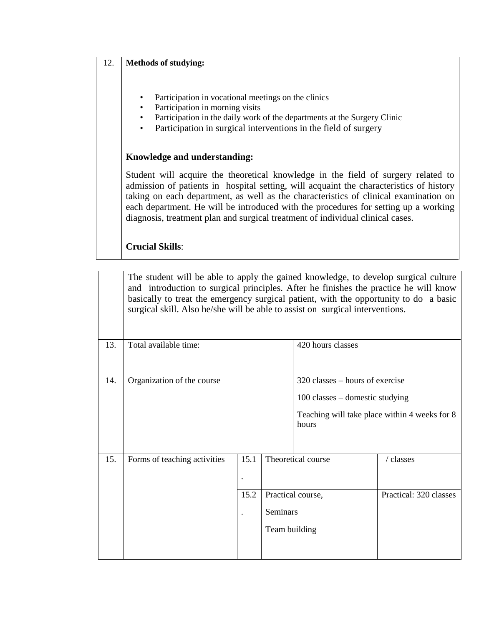## 12. **Methods of studying:**

- Participation in vocational meetings on the clinics
- Participation in morning visits
- Participation in the daily work of the departments at the Surgery Clinic
- Participation in surgical interventions in the field of surgery

## **Knowledge and understanding:**

Student will acquire the theoretical knowledge in the field of surgery related to admission of patients in hospital setting, will acquaint the characteristics of history taking on each department, as well as the characteristics of clinical examination on each department. He will be introduced with the procedures for setting up a working diagnosis, treatment plan and surgical treatment of individual clinical cases.

## **Crucial Skills**:

|     | The student will be able to apply the gained knowledge, to develop surgical culture<br>and introduction to surgical principles. After he finishes the practice he will know<br>basically to treat the emergency surgical patient, with the opportunity to do a basic<br>surgical skill. Also he/she will be able to assist on surgical interventions. |              |                                  |                                                                                 |                                               |
|-----|-------------------------------------------------------------------------------------------------------------------------------------------------------------------------------------------------------------------------------------------------------------------------------------------------------------------------------------------------------|--------------|----------------------------------|---------------------------------------------------------------------------------|-----------------------------------------------|
| 13. | Total available time:                                                                                                                                                                                                                                                                                                                                 |              |                                  | 420 hours classes                                                               |                                               |
| 14. | Organization of the course                                                                                                                                                                                                                                                                                                                            |              |                                  | $320$ classes – hours of exercise<br>$100$ classes – domestic studying<br>hours | Teaching will take place within 4 weeks for 8 |
| 15. | Forms of teaching activities                                                                                                                                                                                                                                                                                                                          | 15.1<br>15.2 | <b>Seminars</b><br>Team building | Theoretical course<br>Practical course,                                         | / classes<br>Practical: 320 classes           |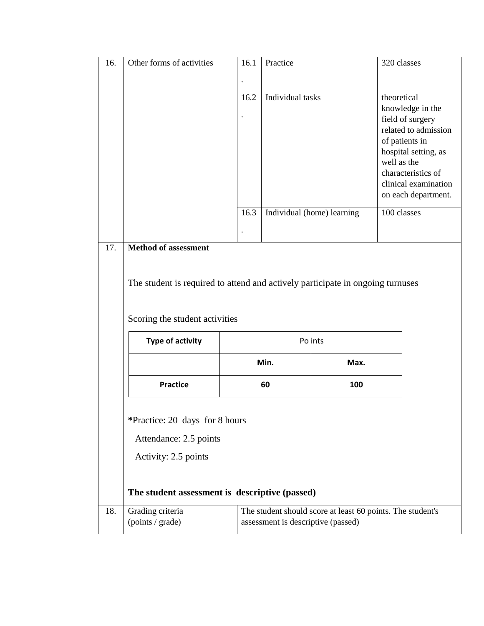| 16. | Other forms of activities                                                      | 16.1                                                       | Practice                           | 320 classes                                                                                                                                                                                               |  |
|-----|--------------------------------------------------------------------------------|------------------------------------------------------------|------------------------------------|-----------------------------------------------------------------------------------------------------------------------------------------------------------------------------------------------------------|--|
|     |                                                                                | $\cdot$                                                    |                                    |                                                                                                                                                                                                           |  |
|     |                                                                                | 16.2                                                       | Individual tasks                   | theoretical<br>knowledge in the<br>field of surgery<br>related to admission<br>of patients in<br>hospital setting, as<br>well as the<br>characteristics of<br>clinical examination<br>on each department. |  |
|     |                                                                                | 16.3                                                       | Individual (home) learning         | 100 classes                                                                                                                                                                                               |  |
|     |                                                                                |                                                            |                                    |                                                                                                                                                                                                           |  |
| 17. | <b>Method of assessment</b>                                                    |                                                            |                                    |                                                                                                                                                                                                           |  |
|     |                                                                                |                                                            |                                    |                                                                                                                                                                                                           |  |
|     | The student is required to attend and actively participate in ongoing turnuses |                                                            |                                    |                                                                                                                                                                                                           |  |
|     | Scoring the student activities                                                 |                                                            |                                    |                                                                                                                                                                                                           |  |
|     | <b>Type of activity</b>                                                        | Po ints                                                    |                                    |                                                                                                                                                                                                           |  |
|     |                                                                                |                                                            | Min.<br>Max.                       |                                                                                                                                                                                                           |  |
|     | <b>Practice</b>                                                                |                                                            | 60<br>100                          |                                                                                                                                                                                                           |  |
|     | *Practice: 20 days for 8 hours<br>Attendance: 2.5 points                       |                                                            |                                    |                                                                                                                                                                                                           |  |
|     |                                                                                |                                                            |                                    |                                                                                                                                                                                                           |  |
|     | Activity: 2.5 points                                                           |                                                            |                                    |                                                                                                                                                                                                           |  |
|     |                                                                                |                                                            |                                    |                                                                                                                                                                                                           |  |
|     | The student assessment is descriptive (passed)                                 |                                                            |                                    |                                                                                                                                                                                                           |  |
| 18. | Grading criteria                                                               | The student should score at least 60 points. The student's |                                    |                                                                                                                                                                                                           |  |
|     | (points / grade)                                                               |                                                            | assessment is descriptive (passed) |                                                                                                                                                                                                           |  |